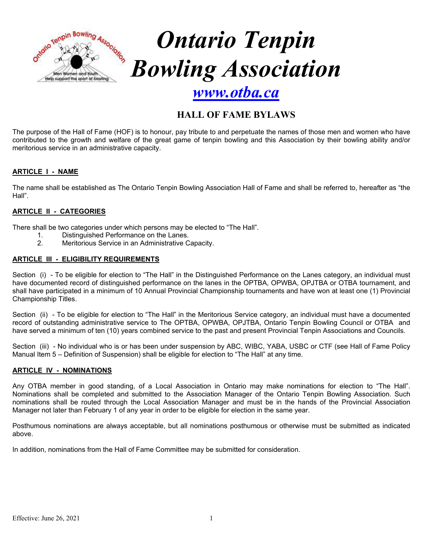

# **HALL OF FAME BYLAWS**

The purpose of the Hall of Fame (HOF) is to honour, pay tribute to and perpetuate the names of those men and women who have contributed to the growth and welfare of the great game of tenpin bowling and this Association by their bowling ability and/or meritorious service in an administrative capacity.

# **ARTICLE I - NAME**

The name shall be established as The Ontario Tenpin Bowling Association Hall of Fame and shall be referred to, hereafter as "the Hall".

### **ARTICLE II - CATEGORIES**

- There shall be two categories under which persons may be elected to "The Hall".
	- 1. Distinguished Performance on the Lanes.<br>2 Meritorious Service in an Administrative O
	- Meritorious Service in an Administrative Capacity.

#### **ARTICLE III - ELIGIBILITY REQUIREMENTS**

Section (i) - To be eligible for election to "The Hall" in the Distinguished Performance on the Lanes category, an individual must have documented record of distinguished performance on the lanes in the OPTBA, OPWBA, OPJTBA or OTBA tournament, and shall have participated in a minimum of 10 Annual Provincial Championship tournaments and have won at least one (1) Provincial Championship Titles.

Section (ii) - To be eligible for election to "The Hall" in the Meritorious Service category, an individual must have a documented record of outstanding administrative service to The OPTBA, OPWBA, OPJTBA, Ontario Tenpin Bowling Council or OTBA and have served a minimum of ten (10) years combined service to the past and present Provincial Tenpin Associations and Councils.

Section (iii) - No individual who is or has been under suspension by ABC, WIBC, YABA, USBC or CTF (see Hall of Fame Policy Manual Item 5 – Definition of Suspension) shall be eligible for election to "The Hall" at any time.

#### **ARTICLE IV - NOMINATIONS**

Any OTBA member in good standing, of a Local Association in Ontario may make nominations for election to "The Hall". Nominations shall be completed and submitted to the Association Manager of the Ontario Tenpin Bowling Association. Such nominations shall be routed through the Local Association Manager and must be in the hands of the Provincial Association Manager not later than February 1 of any year in order to be eligible for election in the same year.

Posthumous nominations are always acceptable, but all nominations posthumous or otherwise must be submitted as indicated above.

In addition, nominations from the Hall of Fame Committee may be submitted for consideration.